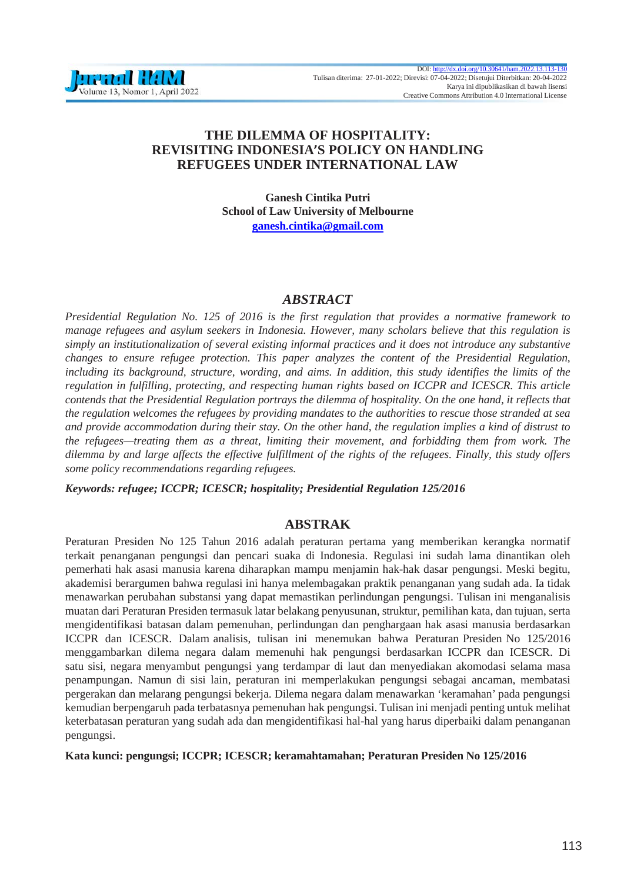# **THE DILEMMA OF HOSPITALITY: REVISITING INDONESIA'S POLICY ON HANDLING REFUGEES UNDER INTERNATIONAL LAW**

**Ganesh Cintika Putri School of Law University of Melbourne [ganesh.cintika@gmail.com](mailto:ganesh.cintika@gmail.com)**

## *ABSTRACT*

*Presidential Regulation No. 125 of 2016 is the first regulation that provides a normative framework to manage refugees and asylum seekers in Indonesia. However, many scholars believe that this regulation is simply an institutionalization of several existing informal practices and it does not introduce any substantive changes to ensure refugee protection. This paper analyzes the content of the Presidential Regulation,*  including its background, structure, wording, and aims. In addition, this study identifies the limits of the *regulation in fulfilling, protecting, and respecting human rights based on ICCPR and ICESCR. This article contends that the Presidential Regulation portrays the dilemma of hospitality. On the one hand, it reflects that the regulation welcomes the refugees by providing mandates to the authorities to rescue those stranded at sea and provide accommodation during their stay. On the other hand, the regulation implies a kind of distrust to the refugees—treating them as a threat, limiting their movement, and forbidding them from work. The dilemma by and large affects the effective fulfillment of the rights of the refugees. Finally, this study offers some policy recommendations regarding refugees.*

*Keywords: refugee; ICCPR; ICESCR; hospitality; Presidential Regulation 125/2016*

## **ABSTRAK**

Peraturan Presiden No 125 Tahun 2016 adalah peraturan pertama yang memberikan kerangka normatif terkait penanganan pengungsi dan pencari suaka di Indonesia. Regulasi ini sudah lama dinantikan oleh pemerhati hak asasi manusia karena diharapkan mampu menjamin hak-hak dasar pengungsi. Meski begitu, akademisi berargumen bahwa regulasi ini hanya melembagakan praktik penanganan yang sudah ada. Ia tidak menawarkan perubahan substansi yang dapat memastikan perlindungan pengungsi. Tulisan ini menganalisis muatan dari Peraturan Presiden termasuk latar belakang penyusunan, struktur, pemilihan kata, dan tujuan, serta mengidentifikasi batasan dalam pemenuhan, perlindungan dan penghargaan hak asasi manusia berdasarkan ICCPR dan ICESCR. Dalam analisis, tulisan ini menemukan bahwa Peraturan Presiden No 125/2016 menggambarkan dilema negara dalam memenuhi hak pengungsi berdasarkan ICCPR dan ICESCR. Di satu sisi, negara menyambut pengungsi yang terdampar di laut dan menyediakan akomodasi selama masa penampungan. Namun di sisi lain, peraturan ini memperlakukan pengungsi sebagai ancaman, membatasi pergerakan dan melarang pengungsi bekerja. Dilema negara dalam menawarkan 'keramahan' pada pengungsi kemudian berpengaruh pada terbatasnya pemenuhan hak pengungsi. Tulisan ini menjadi penting untuk melihat keterbatasan peraturan yang sudah ada dan mengidentifikasi hal-hal yang harus diperbaiki dalam penanganan pengungsi.

**Kata kunci: pengungsi; ICCPR; ICESCR; keramahtamahan; Peraturan Presiden No 125/2016**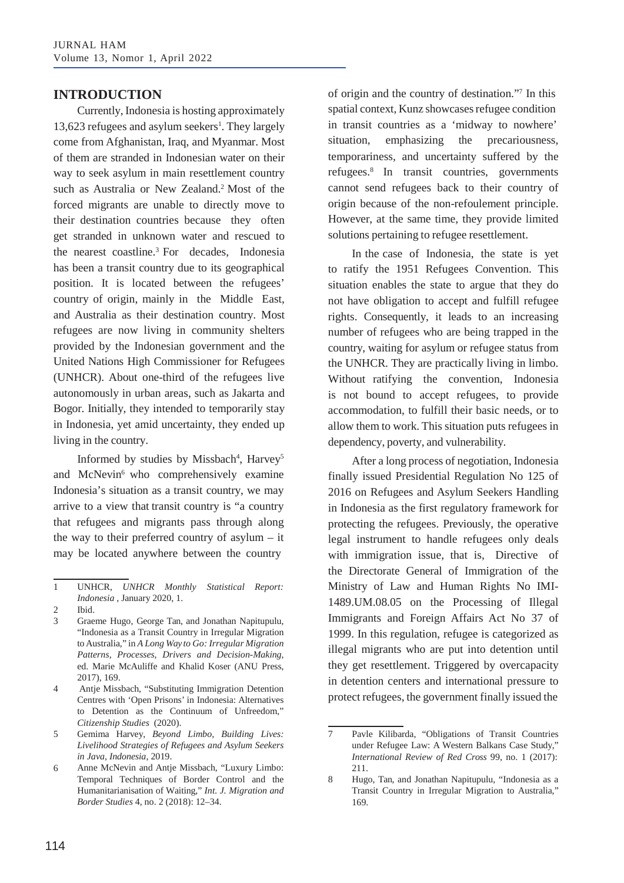## **INTRODUCTION**

Currently, Indonesia is hosting approximately 13,623 refugees and asylum seekers<sup>1</sup>. They largely come from Afghanistan, Iraq, and Myanmar. Most of them are stranded in Indonesian water on their way to seek asylum in main resettlement country such as Australia or New Zealand.<sup>2</sup> Most of the forced migrants are unable to directly move to their destination countries because they often get stranded in unknown water and rescued to the nearest coastline.3 For decades, Indonesia has been a transit country due to its geographical position. It is located between the refugees' country of origin, mainly in the Middle East, and Australia as their destination country. Most refugees are now living in community shelters provided by the Indonesian government and the United Nations High Commissioner for Refugees (UNHCR). About one-third of the refugees live autonomously in urban areas, such as Jakarta and Bogor. Initially, they intended to temporarily stay in Indonesia, yet amid uncertainty, they ended up living in the country.

Informed by studies by Missbach<sup>4</sup>, Harvey<sup>5</sup> and McNevin<sup>6</sup> who comprehensively examine Indonesia's situation as a transit country, we may arrive to a view that transit country is "a country that refugees and migrants pass through along the way to their preferred country of asylum – it may be located anywhere between the country

Antje Missbach, "Substituting Immigration Detention Centres with 'Open Prisons' in Indonesia: Alternatives to Detention as the Continuum of Unfreedom," *Citizenship Studies* (2020). 4

of origin and the country of destination."7 In this spatial context, Kunz showcases refugee condition in transit countries as a 'midway to nowhere' situation, emphasizing the precariousness, temporariness, and uncertainty suffered by the refugees.8 In transit countries, governments cannot send refugees back to their country of origin because of the non-refoulement principle. However, at the same time, they provide limited solutions pertaining to refugee resettlement.

In the case of Indonesia, the state is yet to ratify the 1951 Refugees Convention. This situation enables the state to argue that they do not have obligation to accept and fulfill refugee rights. Consequently, it leads to an increasing number of refugees who are being trapped in the country, waiting for asylum or refugee status from the UNHCR. They are practically living in limbo. Without ratifying the convention, Indonesia is not bound to accept refugees, to provide accommodation, to fulfill their basic needs, or to allow them to work. This situation puts refugees in dependency, poverty, and vulnerability.

After a long process of negotiation, Indonesia finally issued Presidential Regulation No 125 of 2016 on Refugees and Asylum Seekers Handling in Indonesia as the first regulatory framework for protecting the refugees. Previously, the operative legal instrument to handle refugees only deals with immigration issue, that is, Directive of the Directorate General of Immigration of the Ministry of Law and Human Rights No IMI-1489.UM.08.05 on the Processing of Illegal Immigrants and Foreign Affairs Act No 37 of 1999. In this regulation, refugee is categorized as illegal migrants who are put into detention until they get resettlement. Triggered by overcapacity in detention centers and international pressure to protect refugees, the government finally issued the

<sup>1</sup> UNHCR, *UNHCR Monthly Statistical Report: Indonesia* , January 2020, 1.

Ibid.  $\mathfrak{D}$ 

<sup>3</sup> Graeme Hugo, George Tan, and Jonathan Napitupulu, "Indonesia as a Transit Country in Irregular Migration toAustralia," in *A Long Way to Go: Irregular Migration Patterns, Processes, Drivers and Decision-Making*, ed. Marie McAuliffe and Khalid Koser (ANU Press, 2017), 169.

<sup>5</sup> Gemima Harvey, *Beyond Limbo, Building Lives:* 7 Pavle Kilibarda, "Obligations of Transit Countries *Livelihood Strategies of Refugees and Asylum Seekers in Java, Indonesia*, 2019.

Anne McNevin and Antje Missbach, "Luxury Limbo: Temporal Techniques of Border Control and the Humanitarianisation of Waiting," *Int. J. Migration and Border Studies* 4, no. 2 (2018): 12–34. 6

under Refugee Law: A Western Balkans Case Study," *International Review of Red Cross* 99, no. 1 (2017): 211.

Hugo, Tan, and Jonathan Napitupulu, "Indonesia as a Transit Country in Irregular Migration to Australia," 169. 8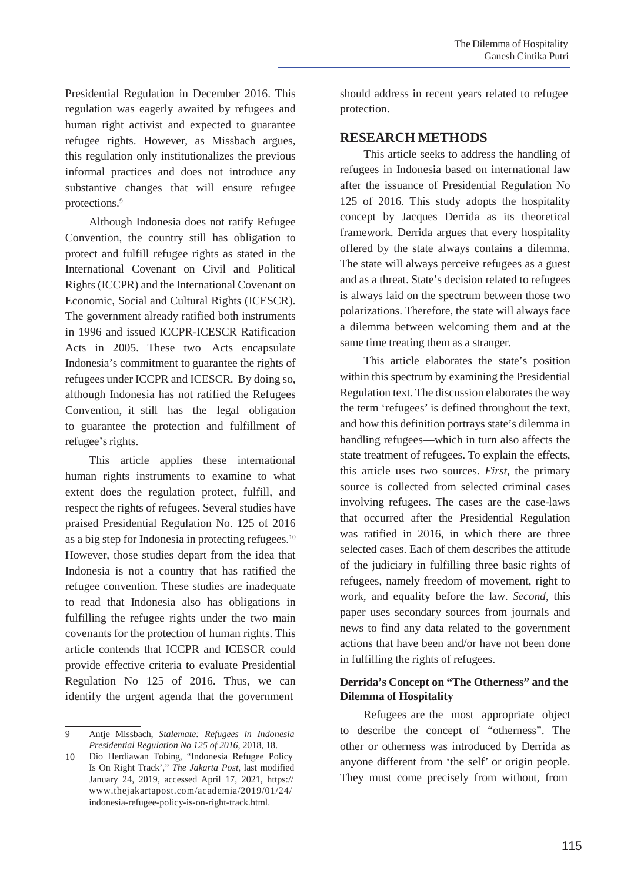Presidential Regulation in December 2016. This regulation was eagerly awaited by refugees and human right activist and expected to guarantee refugee rights. However, as Missbach argues, this regulation only institutionalizes the previous informal practices and does not introduce any substantive changes that will ensure refugee protections.9

Although Indonesia does not ratify Refugee Convention, the country still has obligation to protect and fulfill refugee rights as stated in the International Covenant on Civil and Political Rights (ICCPR) and the International Covenant on Economic, Social and Cultural Rights (ICESCR). The government already ratified both instruments in 1996 and issued ICCPR-ICESCR Ratification Acts in 2005. These two Acts encapsulate Indonesia's commitment to guarantee the rights of refugees under ICCPR and ICESCR. By doing so, although Indonesia has not ratified the Refugees Convention, it still has the legal obligation to guarantee the protection and fulfillment of refugee's rights.

This article applies these international human rights instruments to examine to what extent does the regulation protect, fulfill, and respect the rights of refugees. Several studies have praised Presidential Regulation No. 125 of 2016 as a big step for Indonesia in protecting refugees.10 However, those studies depart from the idea that Indonesia is not a country that has ratified the refugee convention. These studies are inadequate to read that Indonesia also has obligations in fulfilling the refugee rights under the two main covenants for the protection of human rights. This article contends that ICCPR and ICESCR could provide effective criteria to evaluate Presidential Regulation No 125 of 2016. Thus, we can identify the urgent agenda that the government

should address in recent years related to refugee protection.

### **RESEARCH METHODS**

This article seeks to address the handling of refugees in Indonesia based on international law after the issuance of Presidential Regulation No 125 of 2016. This study adopts the hospitality concept by Jacques Derrida as its theoretical framework. Derrida argues that every hospitality offered by the state always contains a dilemma. The state will always perceive refugees as a guest and as a threat. State's decision related to refugees is always laid on the spectrum between those two polarizations. Therefore, the state will always face a dilemma between welcoming them and at the same time treating them as a stranger.

This article elaborates the state's position within this spectrum by examining the Presidential Regulation text. The discussion elaborates the way the term 'refugees' is defined throughout the text, and how this definition portrays state's dilemma in handling refugees—which in turn also affects the state treatment of refugees. To explain the effects, this article uses two sources. *First*, the primary source is collected from selected criminal cases involving refugees. The cases are the case-laws that occurred after the Presidential Regulation was ratified in 2016, in which there are three selected cases. Each of them describes the attitude of the judiciary in fulfilling three basic rights of refugees, namely freedom of movement, right to work, and equality before the law. *Second*, this paper uses secondary sources from journals and news to find any data related to the government actions that have been and/or have not been done in fulfilling the rights of refugees.

#### **Derrida's Concept on "The Otherness" and the Dilemma of Hospitality**

Refugees are the most appropriate object to describe the concept of "otherness". The other or otherness was introduced by Derrida as anyone different from 'the self' or origin people. They must come precisely from without, from

<sup>9</sup> Antje Missbach, *Stalemate: Refugees in Indonesia Presidential Regulation No 125 of 2016*, 2018, 18.

Dio Herdiawan Tobing, "Indonesia Refugee Policy Is On Right Track'," *The Jakarta Post*, last modified January 24, 2019, accessed April 17, 2021, https:// [www.thejakartapost.com/academia/2019/01/24/](http://www.thejakartapost.com/academia/2019/01/24/) indonesia-refugee-policy-is-on-right-track.html. 10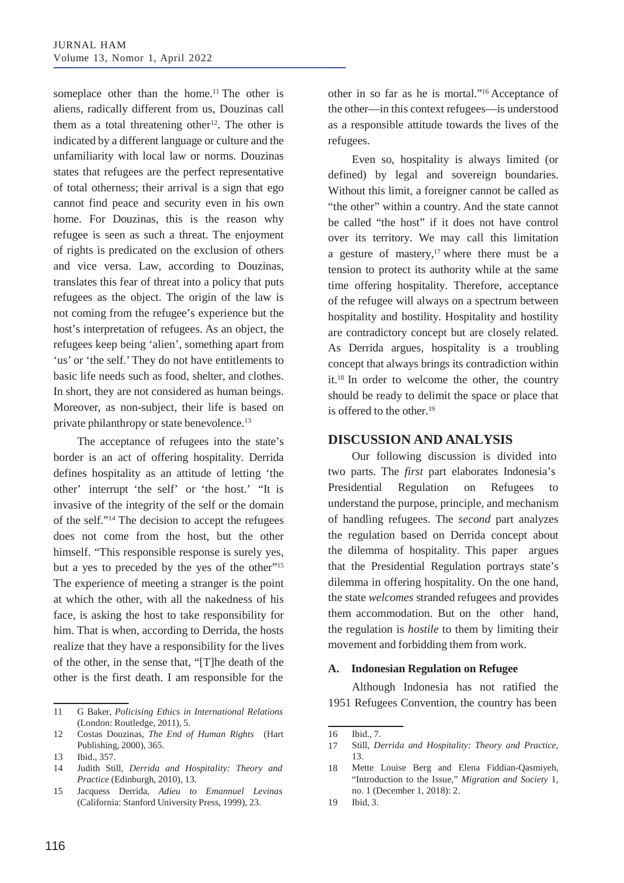someplace other than the home.<sup>11</sup> The other is aliens, radically different from us, Douzinas call them as a total threatening other<sup>12</sup>. The other is indicated by a different language or culture and the unfamiliarity with local law or norms. Douzinas states that refugees are the perfect representative of total otherness; their arrival is a sign that ego cannot find peace and security even in his own home. For Douzinas, this is the reason why refugee is seen as such a threat. The enjoyment of rights is predicated on the exclusion of others and vice versa. Law, according to Douzinas, translates this fear of threat into a policy that puts refugees as the object. The origin of the law is not coming from the refugee's experience but the host's interpretation of refugees. As an object, the refugees keep being 'alien', something apart from 'us' or 'the self.' They do not have entitlements to basic life needs such as food, shelter, and clothes. In short, they are not considered as human beings. Moreover, as non-subject, their life is based on private philanthropy or state benevolence.<sup>13</sup>

The acceptance of refugees into the state's border is an act of offering hospitality. Derrida defines hospitality as an attitude of letting 'the other' interrupt 'the self' or 'the host.' "It is invasive of the integrity of the self or the domain of the self."14 The decision to accept the refugees does not come from the host, but the other himself. "This responsible response is surely yes, but a yes to preceded by the yes of the other"15 The experience of meeting a stranger is the point at which the other, with all the nakedness of his face, is asking the host to take responsibility for him. That is when, according to Derrida, the hosts realize that they have a responsibility for the lives of the other, in the sense that, "[T]he death of the other is the first death. I am responsible for the

other in so far as he is mortal."16 Acceptance of the other—in this context refugees—is understood as a responsible attitude towards the lives of the refugees.

Even so, hospitality is always limited (or defined) by legal and sovereign boundaries. Without this limit, a foreigner cannot be called as "the other" within a country. And the state cannot be called "the host" if it does not have control over its territory. We may call this limitation a gesture of mastery, $17$  where there must be a tension to protect its authority while at the same time offering hospitality. Therefore, acceptance of the refugee will always on a spectrum between hospitality and hostility. Hospitality and hostility are contradictory concept but are closely related. As Derrida argues, hospitality is a troubling concept that always brings its contradiction within it.18 In order to welcome the other, the country should be ready to delimit the space or place that is offered to the other.<sup>19</sup>

## **DISCUSSION AND ANALYSIS**

Our following discussion is divided into two parts. The *first* part elaborates Indonesia's Presidential Regulation on Refugees to understand the purpose, principle, and mechanism of handling refugees. The *second* part analyzes the regulation based on Derrida concept about the dilemma of hospitality. This paper argues that the Presidential Regulation portrays state's dilemma in offering hospitality. On the one hand, the state *welcomes* stranded refugees and provides them accommodation. But on the other hand, the regulation is *hostile* to them by limiting their movement and forbidding them from work.

#### **A. Indonesian Regulation on Refugee**

Although Indonesia has not ratified the 1951 Refugees Convention, the country has been

<sup>11</sup> G Baker, *Policising Ethics in International Relations* (London: Routledge, 2011), 5.

<sup>12</sup> Costas Douzinas, *The End of Human Rights* (Hart 16 Publishing, 2000), 365.

Ibid., 357. 13

<sup>14</sup> Judith Still, *Derrida and Hospitality: Theory and Practice* (Edinburgh, 2010), 13.

Jacquess Derrida, *Adieu to Emannuel Levinas* (California: Stanford University Press, 1999), 23. 15

Ibid., 7.

<sup>17</sup> Still, *Derrida and Hospitality: Theory and Practice*, 13.

Mette Louise Berg and Elena Fiddian-Qasmiyeh, "Introduction to the Issue," *Migration and Society* 1, no. 1 (December 1, 2018): 2. 18

Ibid, 3. 19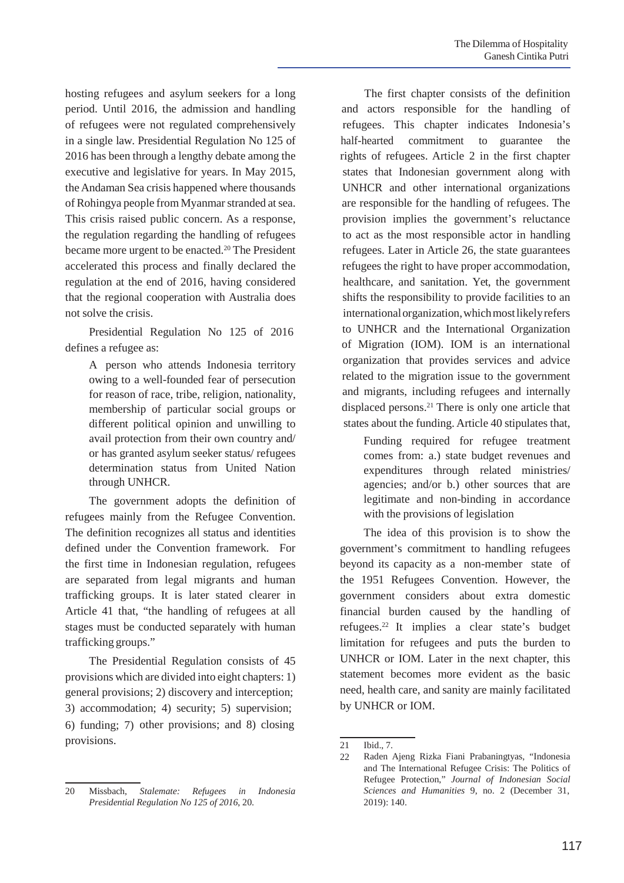hosting refugees and asylum seekers for a long period. Until 2016, the admission and handling of refugees were not regulated comprehensively in a single law. Presidential Regulation No 125 of 2016 has been through a lengthy debate among the executive and legislative for years. In May 2015, theAndaman Sea crisis happened where thousands of Rohingya people from Myanmarstranded atsea. This crisis raised public concern. As a response, the regulation regarding the handling of refugees became more urgent to be enacted.<sup>20</sup> The President accelerated this process and finally declared the regulation at the end of 2016, having considered that the regional cooperation with Australia does not solve the crisis.

Presidential Regulation No 125 of 2016 defines a refugee as:

> A person who attends Indonesia territory owing to a well-founded fear of persecution for reason of race, tribe, religion, nationality, membership of particular social groups or different political opinion and unwilling to avail protection from their own country and/ or has granted asylum seeker status/ refugees determination status from United Nation through UNHCR.

The government adopts the definition of refugees mainly from the Refugee Convention. The definition recognizes all status and identities defined under the Convention framework. For the first time in Indonesian regulation, refugees are separated from legal migrants and human trafficking groups. It is later stated clearer in Article 41 that, "the handling of refugees at all stages must be conducted separately with human trafficking groups."

The Presidential Regulation consists of 45 provisions which are divided into eight chapters: 1) general provisions; 2) discovery and interception; 3) accommodation; 4) security; 5) supervision; 6) funding; 7) other provisions; and 8) closing provisions.

The first chapter consists of the definition and actors responsible for the handling of refugees. This chapter indicates Indonesia's half-hearted commitment to guarantee the rights of refugees. Article 2 in the first chapter states that Indonesian government along with UNHCR and other international organizations are responsible for the handling of refugees. The provision implies the government's reluctance to act as the most responsible actor in handling refugees. Later in Article 26, the state guarantees refugees the right to have proper accommodation, healthcare, and sanitation. Yet, the government shifts the responsibility to provide facilities to an internationalorganization,whichmostlikelyrefers to UNHCR and the International Organization of Migration (IOM). IOM is an international organization that provides services and advice related to the migration issue to the government and migrants, including refugees and internally displaced persons.21 There is only one article that states about the funding. Article 40 stipulates that,

Funding required for refugee treatment comes from: a.) state budget revenues and expenditures through related ministries/ agencies; and/or b.) other sources that are legitimate and non-binding in accordance with the provisions of legislation

The idea of this provision is to show the government's commitment to handling refugees beyond its capacity as a non-member state of the 1951 Refugees Convention. However, the government considers about extra domestic financial burden caused by the handling of refugees.22 It implies a clear state's budget limitation for refugees and puts the burden to UNHCR or IOM. Later in the next chapter, this statement becomes more evident as the basic need, health care, and sanity are mainly facilitated by UNHCR or IOM.

<sup>20</sup> Missbach, *Stalemate: Refugees in Indonesia Presidential Regulation No 125 of 2016*, 20.

<sup>21</sup> Ibid., 7.

<sup>22</sup> Raden Ajeng Rizka Fiani Prabaningtyas, "Indonesia and The International Refugee Crisis: The Politics of Refugee Protection," *Journal of Indonesian Social Sciences and Humanities* 9, no. 2 (December 31, 2019): 140.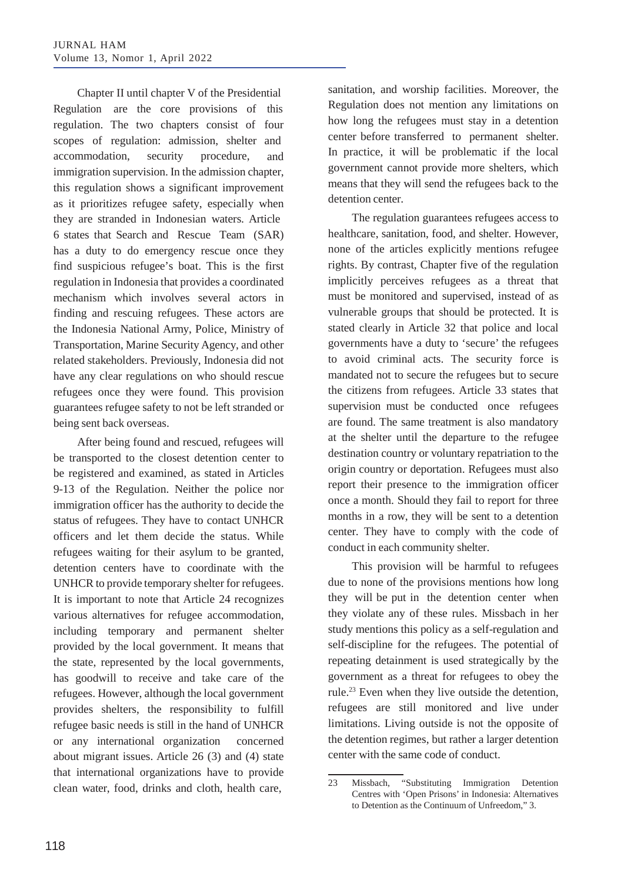Chapter II until chapter V of the Presidential Regulation are the core provisions of this regulation. The two chapters consist of four scopes of regulation: admission, shelter and accommodation, security procedure, and immigration supervision. In the admission chapter, this regulation shows a significant improvement as it prioritizes refugee safety, especially when they are stranded in Indonesian waters. Article 6 states that Search and Rescue Team (SAR) has a duty to do emergency rescue once they find suspicious refugee's boat. This is the first regulation in Indonesia that provides a coordinated mechanism which involves several actors in finding and rescuing refugees. These actors are the Indonesia National Army, Police, Ministry of Transportation, Marine Security Agency, and other related stakeholders. Previously, Indonesia did not have any clear regulations on who should rescue refugees once they were found. This provision guarantees refugee safety to not be left stranded or being sent back overseas.

After being found and rescued, refugees will be transported to the closest detention center to be registered and examined, as stated in Articles 9-13 of the Regulation. Neither the police nor immigration officer has the authority to decide the status of refugees. They have to contact UNHCR officers and let them decide the status. While refugees waiting for their asylum to be granted, detention centers have to coordinate with the UNHCR to provide temporary shelter for refugees. It is important to note that Article 24 recognizes various alternatives for refugee accommodation, including temporary and permanent shelter provided by the local government. It means that the state, represented by the local governments, has goodwill to receive and take care of the refugees. However, although the local government provides shelters, the responsibility to fulfill refugee basic needs is still in the hand of UNHCR or any international organization concerned about migrant issues. Article 26 (3) and (4) state that international organizations have to provide clean water, food, drinks and cloth, health care,

sanitation, and worship facilities. Moreover, the Regulation does not mention any limitations on how long the refugees must stay in a detention center before transferred to permanent shelter. In practice, it will be problematic if the local government cannot provide more shelters, which means that they will send the refugees back to the detention center.

The regulation guarantees refugees access to healthcare, sanitation, food, and shelter. However, none of the articles explicitly mentions refugee rights. By contrast, Chapter five of the regulation implicitly perceives refugees as a threat that must be monitored and supervised, instead of as vulnerable groups that should be protected. It is stated clearly in Article 32 that police and local governments have a duty to 'secure' the refugees to avoid criminal acts. The security force is mandated not to secure the refugees but to secure the citizens from refugees. Article 33 states that supervision must be conducted once refugees are found. The same treatment is also mandatory at the shelter until the departure to the refugee destination country or voluntary repatriation to the origin country or deportation. Refugees must also report their presence to the immigration officer once a month. Should they fail to report for three months in a row, they will be sent to a detention center. They have to comply with the code of conduct in each community shelter.

This provision will be harmful to refugees due to none of the provisions mentions how long they will be put in the detention center when they violate any of these rules. Missbach in her study mentions this policy as a self-regulation and self-discipline for the refugees. The potential of repeating detainment is used strategically by the government as a threat for refugees to obey the rule.23 Even when they live outside the detention, refugees are still monitored and live under limitations. Living outside is not the opposite of the detention regimes, but rather a larger detention center with the same code of conduct.

<sup>23</sup> Missbach, "Substituting Immigration Detention Centres with 'Open Prisons' in Indonesia: Alternatives to Detention as the Continuum of Unfreedom," 3.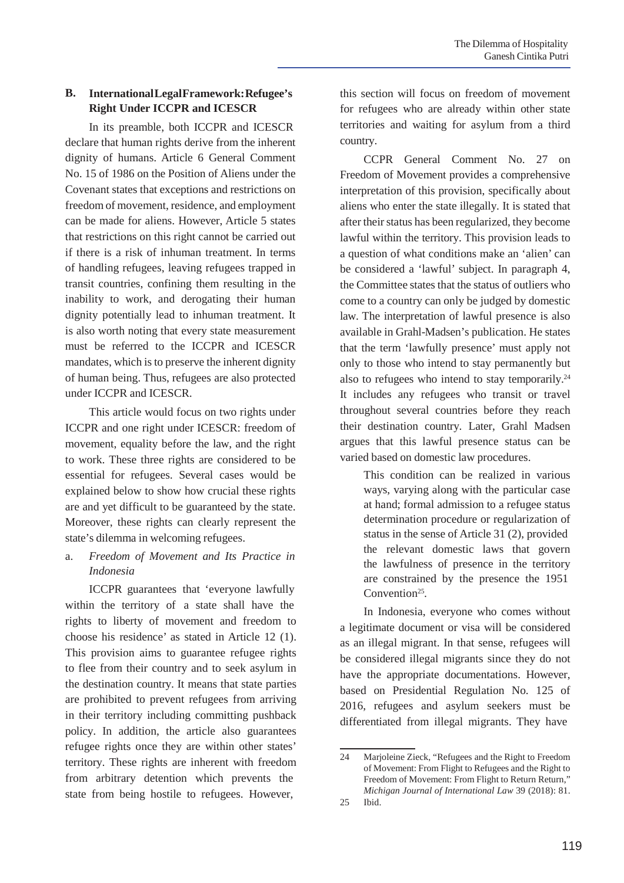### **B. InternationalLegalFramework:Refugee's Right Under ICCPR and ICESCR**

In its preamble, both ICCPR and ICESCR declare that human rights derive from the inherent dignity of humans. Article 6 General Comment No. 15 of 1986 on the Position of Aliens under the Covenant states that exceptions and restrictions on freedom of movement, residence, and employment can be made for aliens. However, Article 5 states that restrictions on this right cannot be carried out if there is a risk of inhuman treatment. In terms of handling refugees, leaving refugees trapped in transit countries, confining them resulting in the inability to work, and derogating their human dignity potentially lead to inhuman treatment. It is also worth noting that every state measurement must be referred to the ICCPR and ICESCR mandates, which is to preserve the inherent dignity of human being. Thus, refugees are also protected under ICCPR and ICESCR.

This article would focus on two rights under ICCPR and one right under ICESCR: freedom of movement, equality before the law, and the right to work. These three rights are considered to be essential for refugees. Several cases would be explained below to show how crucial these rights are and yet difficult to be guaranteed by the state. Moreover, these rights can clearly represent the state's dilemma in welcoming refugees.

## a. *Freedom of Movement and Its Practice in Indonesia*

ICCPR guarantees that 'everyone lawfully within the territory of a state shall have the rights to liberty of movement and freedom to choose his residence' as stated in Article 12 (1). This provision aims to guarantee refugee rights to flee from their country and to seek asylum in the destination country. It means that state parties are prohibited to prevent refugees from arriving in their territory including committing pushback policy. In addition, the article also guarantees refugee rights once they are within other states' territory. These rights are inherent with freedom from arbitrary detention which prevents the state from being hostile to refugees. However,

this section will focus on freedom of movement for refugees who are already within other state territories and waiting for asylum from a third country.

CCPR General Comment No. 27 on Freedom of Movement provides a comprehensive interpretation of this provision, specifically about aliens who enter the state illegally. It is stated that after their status has been regularized, they become lawful within the territory. This provision leads to a question of what conditions make an 'alien' can be considered a 'lawful' subject. In paragraph 4, the Committee states that the status of outliers who come to a country can only be judged by domestic law. The interpretation of lawful presence is also available in Grahl-Madsen's publication. He states that the term 'lawfully presence' must apply not only to those who intend to stay permanently but also to refugees who intend to stay temporarily. $24$ It includes any refugees who transit or travel throughout several countries before they reach their destination country. Later, Grahl Madsen argues that this lawful presence status can be varied based on domestic law procedures.

> This condition can be realized in various ways, varying along with the particular case at hand; formal admission to a refugee status determination procedure or regularization of status in the sense of Article 31 (2), provided the relevant domestic laws that govern the lawfulness of presence in the territory are constrained by the presence the 1951 Convention25*.*

In Indonesia, everyone who comes without a legitimate document or visa will be considered as an illegal migrant. In that sense, refugees will be considered illegal migrants since they do not have the appropriate documentations. However, based on Presidential Regulation No. 125 of 2016, refugees and asylum seekers must be differentiated from illegal migrants. They have

<sup>24</sup> Marjoleine Zieck, "Refugees and the Right to Freedom of Movement: From Flight to Refugees and the Right to Freedom of Movement: From Flight to Return Return," *Michigan Journal of International Law* 39 (2018): 81.

<sup>25</sup> Ibid.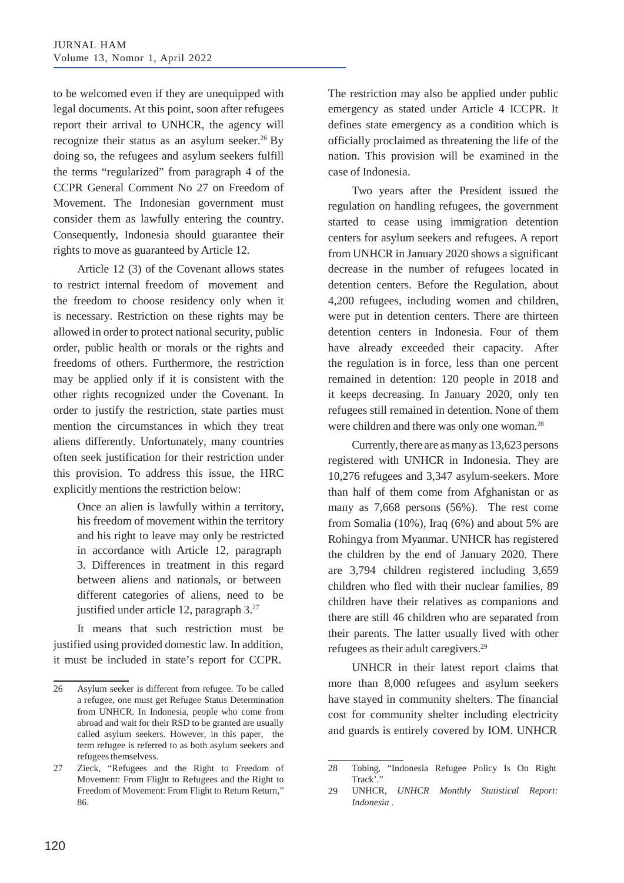to be welcomed even if they are unequipped with legal documents. At this point, soon after refugees report their arrival to UNHCR, the agency will recognize their status as an asylum seeker.<sup>26</sup> By doing so, the refugees and asylum seekers fulfill the terms "regularized" from paragraph 4 of the CCPR General Comment No 27 on Freedom of Movement. The Indonesian government must consider them as lawfully entering the country. Consequently, Indonesia should guarantee their rights to move as guaranteed by Article 12.

Article 12 (3) of the Covenant allows states to restrict internal freedom of movement and the freedom to choose residency only when it is necessary. Restriction on these rights may be allowed in order to protect national security, public order, public health or morals or the rights and freedoms of others. Furthermore, the restriction may be applied only if it is consistent with the other rights recognized under the Covenant. In order to justify the restriction, state parties must mention the circumstances in which they treat aliens differently. Unfortunately, many countries often seek justification for their restriction under this provision. To address this issue, the HRC explicitly mentions the restriction below:

Once an alien is lawfully within a territory, his freedom of movement within the territory and his right to leave may only be restricted in accordance with Article 12, paragraph 3. Differences in treatment in this regard between aliens and nationals, or between different categories of aliens, need to be justified under article 12, paragraph 3.27

It means that such restriction must be justified using provided domestic law. In addition, it must be included in state's report for CCPR.

The restriction may also be applied under public emergency as stated under Article 4 ICCPR. It defines state emergency as a condition which is officially proclaimed as threatening the life of the nation. This provision will be examined in the case of Indonesia.

Two years after the President issued the regulation on handling refugees, the government started to cease using immigration detention centers for asylum seekers and refugees. A report from UNHCR in January 2020 shows a significant decrease in the number of refugees located in detention centers. Before the Regulation, about 4,200 refugees, including women and children, were put in detention centers. There are thirteen detention centers in Indonesia. Four of them have already exceeded their capacity. After the regulation is in force, less than one percent remained in detention: 120 people in 2018 and it keeps decreasing. In January 2020, only ten refugees still remained in detention. None of them were children and there was only one woman.<sup>28</sup>

Currently, there are as many as 13,623 persons registered with UNHCR in Indonesia. They are 10,276 refugees and 3,347 asylum-seekers. More than half of them come from Afghanistan or as many as 7,668 persons (56%). The rest come from Somalia (10%), Iraq (6%) and about 5% are Rohingya from Myanmar. UNHCR has registered the children by the end of January 2020. There are 3,794 children registered including 3,659 children who fled with their nuclear families, 89 children have their relatives as companions and there are still 46 children who are separated from their parents. The latter usually lived with other refugees as their adult caregivers.29

UNHCR in their latest report claims that more than 8,000 refugees and asylum seekers have stayed in community shelters. The financial cost for community shelter including electricity and guards is entirely covered by IOM. UNHCR

<sup>26</sup> Asylum seeker is different from refugee. To be called a refugee, one must get Refugee Status Determination from UNHCR. In Indonesia, people who come from abroad and wait for their RSD to be granted are usually called asylum seekers. However, in this paper, the term refugee is referred to as both asylum seekers and refugees themselvess.

<sup>27</sup> Zieck, "Refugees and the Right to Freedom of 28 Tobing, "Indonesia Refugee Policy Is On Right Movement: From Flight to Refugees and the Right to Freedom of Movement: From Flight to Return Return," 86.

Track'."

UNHCR, *UNHCR Monthly Statistical Report: Indonesia* . 29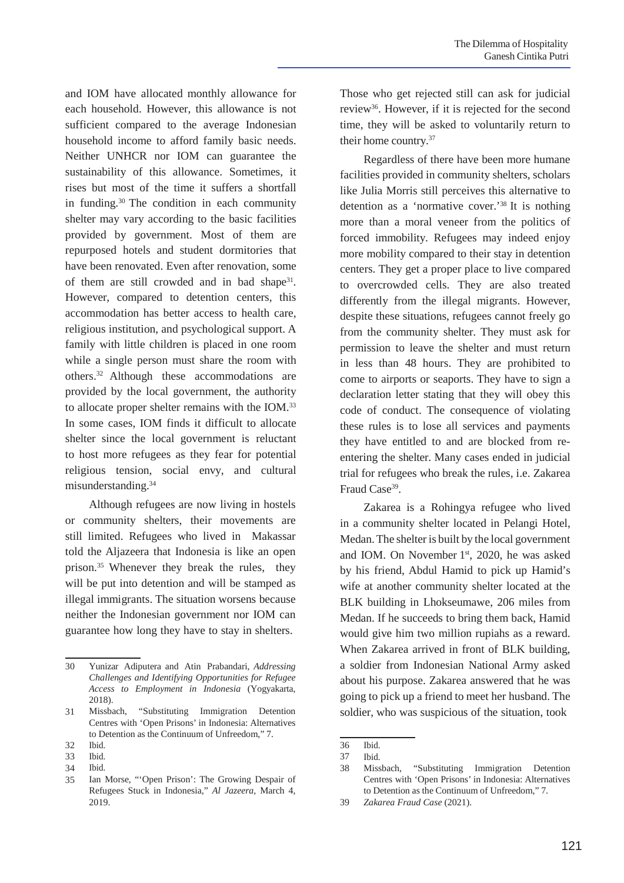and IOM have allocated monthly allowance for each household. However, this allowance is not sufficient compared to the average Indonesian household income to afford family basic needs. Neither UNHCR nor IOM can guarantee the sustainability of this allowance. Sometimes, it rises but most of the time it suffers a shortfall in funding.30 The condition in each community shelter may vary according to the basic facilities provided by government. Most of them are repurposed hotels and student dormitories that have been renovated. Even after renovation, some of them are still crowded and in bad shape $31$ . However, compared to detention centers, this accommodation has better access to health care, religious institution, and psychological support. A family with little children is placed in one room while a single person must share the room with others.32 Although these accommodations are provided by the local government, the authority to allocate proper shelter remains with the IOM.<sup>33</sup> In some cases, IOM finds it difficult to allocate shelter since the local government is reluctant to host more refugees as they fear for potential religious tension, social envy, and cultural misunderstanding.34

Although refugees are now living in hostels or community shelters, their movements are still limited. Refugees who lived in Makassar told the Aljazeera that Indonesia is like an open prison.35 Whenever they break the rules, they will be put into detention and will be stamped as illegal immigrants. The situation worsens because neither the Indonesian government nor IOM can guarantee how long they have to stay in shelters.

Ibid. 34

Those who get rejected still can ask for judicial review36. However, if it is rejected for the second time, they will be asked to voluntarily return to their home country.37

Regardless of there have been more humane facilities provided in community shelters, scholars like Julia Morris still perceives this alternative to detention as a 'normative cover.'38 It is nothing more than a moral veneer from the politics of forced immobility. Refugees may indeed enjoy more mobility compared to their stay in detention centers. They get a proper place to live compared to overcrowded cells. They are also treated differently from the illegal migrants. However, despite these situations, refugees cannot freely go from the community shelter. They must ask for permission to leave the shelter and must return in less than 48 hours. They are prohibited to come to airports or seaports. They have to sign a declaration letter stating that they will obey this code of conduct. The consequence of violating these rules is to lose all services and payments they have entitled to and are blocked from reentering the shelter. Many cases ended in judicial trial for refugees who break the rules, i.e. Zakarea Fraud Case<sup>39</sup>.

Zakarea is a Rohingya refugee who lived in a community shelter located in Pelangi Hotel, Medan.The shelter is built by the local government and IOM. On November 1<sup>st</sup>, 2020, he was asked by his friend, Abdul Hamid to pick up Hamid's wife at another community shelter located at the BLK building in Lhokseumawe, 206 miles from Medan. If he succeeds to bring them back, Hamid would give him two million rupiahs as a reward. When Zakarea arrived in front of BLK building, a soldier from Indonesian National Army asked about his purpose. Zakarea answered that he was going to pick up a friend to meet her husband. The soldier, who was suspicious of the situation, took

<sup>30</sup> Yunizar Adiputera and Atin Prabandari, *Addressing Challenges and Identifying Opportunities for Refugee Access to Employment in Indonesia* (Yogyakarta, 2018).

Missbach, "Substituting Immigration Detention Centres with 'Open Prisons' in Indonesia: Alternatives to Detention as the Continuum of Unfreedom," 7. 31

Ibid. 32

Ibid. 33

Ian Morse, "'Open Prison': The Growing Despair of Refugees Stuck in Indonesia," *Al Jazeera*, March 4, 2019. 35

<sup>36</sup> Ibid.

<sup>37</sup> Ibid.

<sup>38</sup> Missbach, "Substituting Immigration Detention Centres with 'Open Prisons' in Indonesia: Alternatives to Detention as the Continuum of Unfreedom," 7.

<sup>39</sup> *Zakarea Fraud Case* (2021).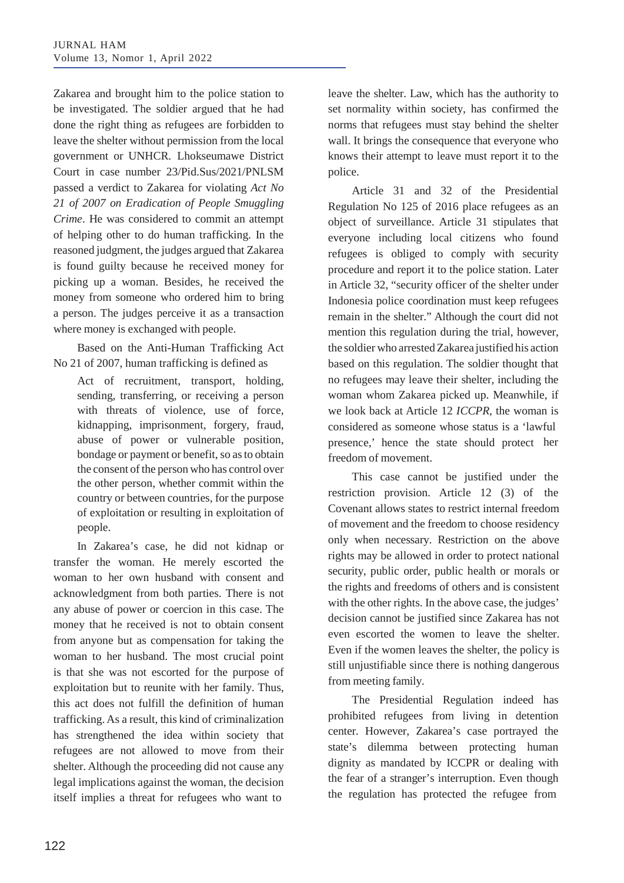Zakarea and brought him to the police station to be investigated. The soldier argued that he had done the right thing as refugees are forbidden to leave the shelter without permission from the local government or UNHCR. Lhokseumawe District Court in case number 23/Pid.Sus/2021/PNLSM passed a verdict to Zakarea for violating *Act No 21 of 2007 on Eradication of People Smuggling Crime*. He was considered to commit an attempt of helping other to do human trafficking. In the reasoned judgment, the judges argued that Zakarea is found guilty because he received money for picking up a woman. Besides, he received the money from someone who ordered him to bring a person. The judges perceive it as a transaction where money is exchanged with people.

Based on the Anti-Human Trafficking Act No 21 of 2007, human trafficking is defined as

Act of recruitment, transport, holding, sending, transferring, or receiving a person with threats of violence, use of force, kidnapping, imprisonment, forgery, fraud, abuse of power or vulnerable position, bondage or payment or benefit, so as to obtain the consent of the person who has control over the other person, whether commit within the country or between countries, for the purpose of exploitation or resulting in exploitation of people.

In Zakarea's case, he did not kidnap or transfer the woman. He merely escorted the woman to her own husband with consent and acknowledgment from both parties. There is not any abuse of power or coercion in this case. The money that he received is not to obtain consent from anyone but as compensation for taking the woman to her husband. The most crucial point is that she was not escorted for the purpose of exploitation but to reunite with her family. Thus, this act does not fulfill the definition of human trafficking. As a result, this kind of criminalization has strengthened the idea within society that refugees are not allowed to move from their shelter. Although the proceeding did not cause any legal implications against the woman, the decision itself implies a threat for refugees who want to

leave the shelter. Law, which has the authority to set normality within society, has confirmed the norms that refugees must stay behind the shelter wall. It brings the consequence that everyone who knows their attempt to leave must report it to the police.

Article 31 and 32 of the Presidential Regulation No 125 of 2016 place refugees as an object of surveillance. Article 31 stipulates that everyone including local citizens who found refugees is obliged to comply with security procedure and report it to the police station. Later in Article 32, "security officer of the shelter under Indonesia police coordination must keep refugees remain in the shelter." Although the court did not mention this regulation during the trial, however, the soldier who arrestedZakarea justified his action based on this regulation. The soldier thought that no refugees may leave their shelter, including the woman whom Zakarea picked up. Meanwhile, if we look back at Article 12 *ICCPR*, the woman is considered as someone whose status is a 'lawful presence,' hence the state should protect her freedom of movement.

This case cannot be justified under the restriction provision. Article 12 (3) of the Covenant allows states to restrict internal freedom of movement and the freedom to choose residency only when necessary. Restriction on the above rights may be allowed in order to protect national security, public order, public health or morals or the rights and freedoms of others and is consistent with the other rights. In the above case, the judges' decision cannot be justified since Zakarea has not even escorted the women to leave the shelter. Even if the women leaves the shelter, the policy is still unjustifiable since there is nothing dangerous from meeting family.

The Presidential Regulation indeed has prohibited refugees from living in detention center. However, Zakarea's case portrayed the state's dilemma between protecting human dignity as mandated by ICCPR or dealing with the fear of a stranger's interruption. Even though the regulation has protected the refugee from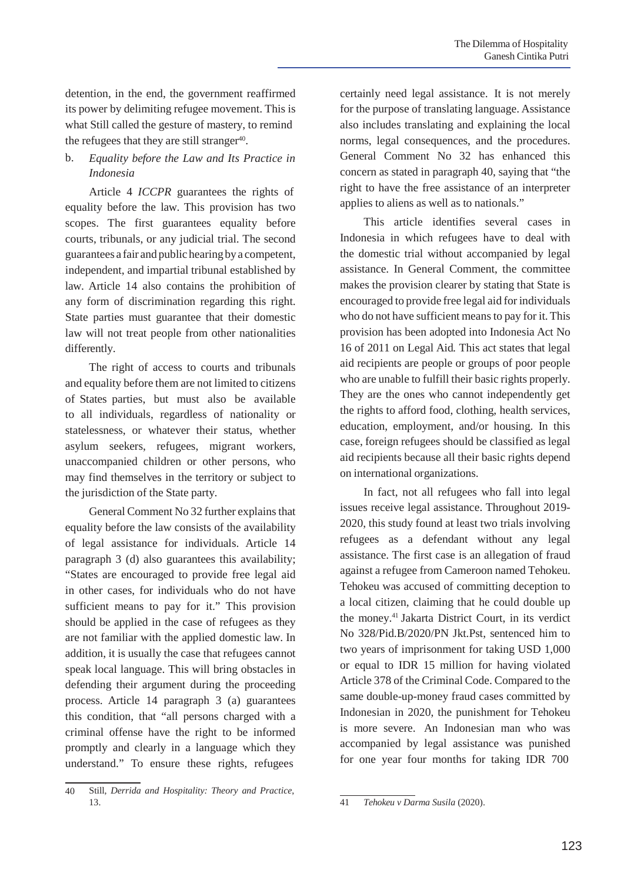detention, in the end, the government reaffirmed its power by delimiting refugee movement. This is what Still called the gesture of mastery, to remind the refugees that they are still stranger $40$ .

# b. *Equality before the Law and Its Practice in Indonesia*

Article 4 *ICCPR* guarantees the rights of equality before the law. This provision has two scopes. The first guarantees equality before courts, tribunals, or any judicial trial. The second guarantees a fair and publichearingbya competent, independent, and impartial tribunal established by law. Article 14 also contains the prohibition of any form of discrimination regarding this right. State parties must guarantee that their domestic law will not treat people from other nationalities differently.

The right of access to courts and tribunals and equality before them are not limited to citizens of States parties, but must also be available to all individuals, regardless of nationality or statelessness, or whatever their status, whether asylum seekers, refugees, migrant workers, unaccompanied children or other persons, who may find themselves in the territory or subject to the jurisdiction of the State party*.*

General Comment No 32 further explains that equality before the law consists of the availability of legal assistance for individuals. Article 14 paragraph 3 (d) also guarantees this availability; "States are encouraged to provide free legal aid in other cases, for individuals who do not have sufficient means to pay for it." This provision should be applied in the case of refugees as they are not familiar with the applied domestic law. In addition, it is usually the case that refugees cannot speak local language. This will bring obstacles in defending their argument during the proceeding process. Article 14 paragraph 3 (a) guarantees this condition, that "all persons charged with a criminal offense have the right to be informed promptly and clearly in a language which they understand." To ensure these rights, refugees

certainly need legal assistance. It is not merely for the purpose of translating language. Assistance also includes translating and explaining the local norms, legal consequences, and the procedures. General Comment No 32 has enhanced this concern as stated in paragraph 40, saying that "the right to have the free assistance of an interpreter applies to aliens as well as to nationals."

This article identifies several cases in Indonesia in which refugees have to deal with the domestic trial without accompanied by legal assistance. In General Comment, the committee makes the provision clearer by stating that State is encouraged to provide free legal aid for individuals who do not have sufficient means to pay for it. This provision has been adopted into Indonesia Act No 16 of 2011 on Legal Aid*.* This act states that legal aid recipients are people or groups of poor people who are unable to fulfill their basic rights properly. They are the ones who cannot independently get the rights to afford food, clothing, health services, education, employment, and/or housing. In this case, foreign refugees should be classified as legal aid recipients because all their basic rights depend on international organizations.

In fact, not all refugees who fall into legal issues receive legal assistance. Throughout 2019- 2020, this study found at least two trials involving refugees as a defendant without any legal assistance. The first case is an allegation of fraud against a refugee from Cameroon named Tehokeu. Tehokeu was accused of committing deception to a local citizen, claiming that he could double up the money.41 Jakarta District Court, in its verdict No 328/Pid.B/2020/PN Jkt.Pst, sentenced him to two years of imprisonment for taking USD 1,000 or equal to IDR 15 million for having violated Article 378 of the Criminal Code. Compared to the same double-up-money fraud cases committed by Indonesian in 2020, the punishment for Tehokeu is more severe. An Indonesian man who was accompanied by legal assistance was punished for one year four months for taking IDR 700

<sup>40</sup> Still, *Derrida and Hospitality: Theory and Practice*, 13. 41 *Tehokeu v Darma Susila* (2020).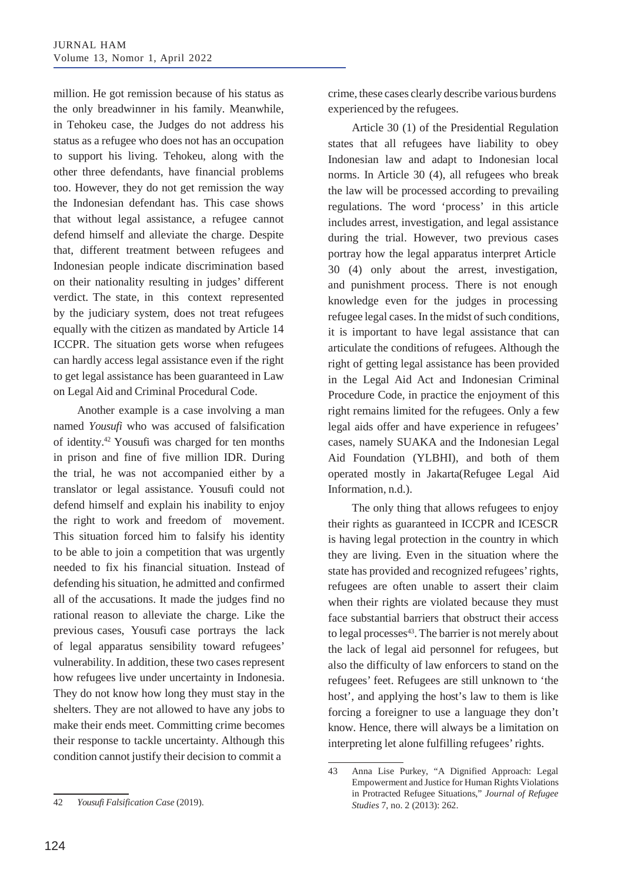million. He got remission because of his status as the only breadwinner in his family. Meanwhile, in Tehokeu case, the Judges do not address his status as a refugee who does not has an occupation to support his living. Tehokeu, along with the other three defendants, have financial problems too. However, they do not get remission the way the Indonesian defendant has. This case shows that without legal assistance, a refugee cannot defend himself and alleviate the charge. Despite that, different treatment between refugees and Indonesian people indicate discrimination based on their nationality resulting in judges' different verdict. The state, in this context represented by the judiciary system, does not treat refugees equally with the citizen as mandated by Article 14 ICCPR. The situation gets worse when refugees can hardly access legal assistance even if the right to get legal assistance has been guaranteed in Law on Legal Aid and Criminal Procedural Code.

Another example is a case involving a man named *Yousufi* who was accused of falsification of identity.42 Yousufi was charged for ten months in prison and fine of five million IDR. During the trial, he was not accompanied either by a translator or legal assistance. Yousufi could not defend himself and explain his inability to enjoy the right to work and freedom of movement. This situation forced him to falsify his identity to be able to join a competition that was urgently needed to fix his financial situation. Instead of defending his situation, he admitted and confirmed all of the accusations. It made the judges find no rational reason to alleviate the charge. Like the previous cases, Yousufi case portrays the lack of legal apparatus sensibility toward refugees' vulnerability. In addition, these two cases represent how refugees live under uncertainty in Indonesia. They do not know how long they must stay in the shelters. They are not allowed to have any jobs to make their ends meet. Committing crime becomes their response to tackle uncertainty. Although this condition cannot justify their decision to commit a

crime, these cases clearly describe various burdens experienced by the refugees.

Article 30 (1) of the Presidential Regulation states that all refugees have liability to obey Indonesian law and adapt to Indonesian local norms. In Article 30 (4), all refugees who break the law will be processed according to prevailing regulations. The word 'process' in this article includes arrest, investigation, and legal assistance during the trial. However, two previous cases portray how the legal apparatus interpret Article 30 (4) only about the arrest, investigation, and punishment process. There is not enough knowledge even for the judges in processing refugee legal cases. In the midst of such conditions, it is important to have legal assistance that can articulate the conditions of refugees. Although the right of getting legal assistance has been provided in the Legal Aid Act and Indonesian Criminal Procedure Code, in practice the enjoyment of this right remains limited for the refugees. Only a few legal aids offer and have experience in refugees' cases, namely SUAKA and the Indonesian Legal Aid Foundation (YLBHI), and both of them operated mostly in Jakarta(Refugee Legal Aid Information, n.d.).

The only thing that allows refugees to enjoy their rights as guaranteed in ICCPR and ICESCR is having legal protection in the country in which they are living. Even in the situation where the state has provided and recognized refugees' rights, refugees are often unable to assert their claim when their rights are violated because they must face substantial barriers that obstruct their access to legal processes<sup>43</sup>. The barrier is not merely about the lack of legal aid personnel for refugees, but also the difficulty of law enforcers to stand on the refugees' feet. Refugees are still unknown to 'the host', and applying the host's law to them is like forcing a foreigner to use a language they don't know. Hence, there will always be a limitation on interpreting let alone fulfilling refugees' rights.

<sup>43</sup> Anna Lise Purkey, "A Dignified Approach: Legal Empowerment and Justice for Human Rights Violations in Protracted Refugee Situations," *Journal of Refugee Studies* 7, no. 2 (2013): 262. 42 *Yousufi Falsification Case* (2019).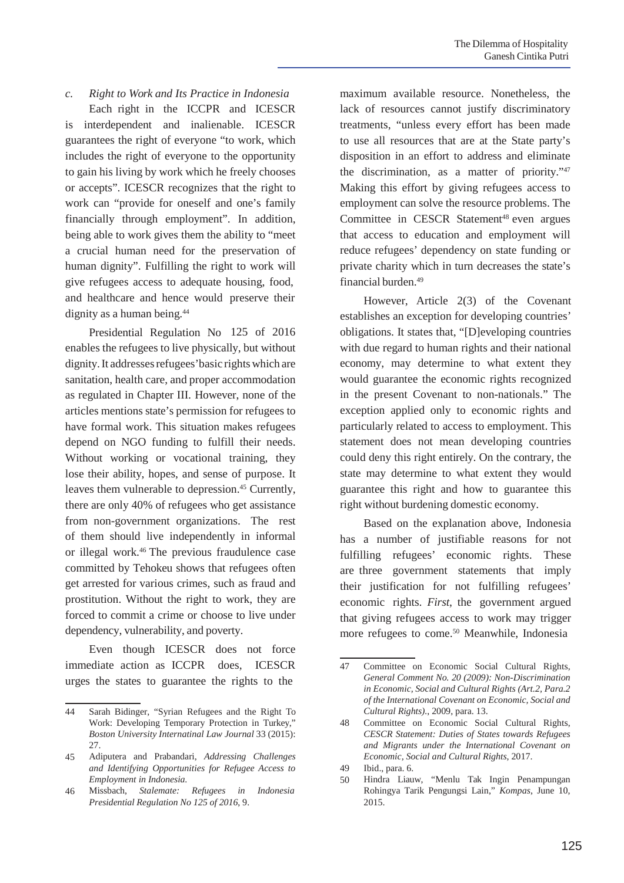*c. Right to Work and Its Practice in Indonesia*

Each right in the ICCPR and ICESCR is interdependent and inalienable. ICESCR guarantees the right of everyone "to work, which includes the right of everyone to the opportunity to gain his living by work which he freely chooses or accepts". ICESCR recognizes that the right to work can "provide for oneself and one's family financially through employment". In addition, being able to work gives them the ability to "meet a crucial human need for the preservation of human dignity". Fulfilling the right to work will give refugees access to adequate housing, food, and healthcare and hence would preserve their dignity as a human being.<sup>44</sup>

Presidential Regulation No 125 of 2016 enables the refugees to live physically, but without dignity. It addresses refugees' basic rights which are sanitation, health care, and proper accommodation as regulated in Chapter III. However, none of the articles mentions state's permission for refugees to have formal work. This situation makes refugees depend on NGO funding to fulfill their needs. Without working or vocational training, they lose their ability, hopes, and sense of purpose. It leaves them vulnerable to depression.<sup>45</sup> Currently, there are only 40% of refugees who get assistance from non-government organizations. The rest of them should live independently in informal or illegal work.46 The previous fraudulence case committed by Tehokeu shows that refugees often get arrested for various crimes, such as fraud and prostitution. Without the right to work, they are forced to commit a crime or choose to live under dependency, vulnerability, and poverty.

Even though ICESCR does not force immediate action as ICCPR does, ICESCR urges the states to guarantee the rights to the

maximum available resource. Nonetheless, the lack of resources cannot justify discriminatory treatments, "unless every effort has been made to use all resources that are at the State party's disposition in an effort to address and eliminate the discrimination, as a matter of priority."47 Making this effort by giving refugees access to employment can solve the resource problems. The Committee in CESCR Statement<sup>48</sup> even argues that access to education and employment will reduce refugees' dependency on state funding or private charity which in turn decreases the state's financial burden.<sup>49</sup>

However, Article 2(3) of the Covenant establishes an exception for developing countries' obligations. It states that, "[D]eveloping countries with due regard to human rights and their national economy, may determine to what extent they would guarantee the economic rights recognized in the present Covenant to non-nationals." The exception applied only to economic rights and particularly related to access to employment. This statement does not mean developing countries could deny this right entirely. On the contrary, the state may determine to what extent they would guarantee this right and how to guarantee this right without burdening domestic economy.

Based on the explanation above, Indonesia has a number of justifiable reasons for not fulfilling refugees' economic rights. These are three government statements that imply their justification for not fulfilling refugees' economic rights. *First*, the government argued that giving refugees access to work may trigger more refugees to come.50 Meanwhile, Indonesia

<sup>44</sup> Sarah Bidinger, "Syrian Refugees and the Right To Work: Developing Temporary Protection in Turkey," *Boston University Internatinal Law Journal* 33 (2015): 27.

Adiputera and Prabandari, *Addressing Challenges and Identifying Opportunities for Refugee Access to Employment in Indonesia*. 45

Missbach, *Stalemate: Refugees in Indonesia Presidential Regulation No 125 of 2016*, 9. 46

<sup>47</sup> Committee on Economic Social Cultural Rights, *General Comment No. 20 (2009): Non-Discrimination in Economic, Social and Cultural Rights (Art.2, Para.2 of the International Covenant on Economic, Social and Cultural Rights).*, 2009, para. 13.

Committee on Economic Social Cultural Rights, *CESCR Statement: Duties of States towards Refugees and Migrants under the International Covenant on Economic, Social and Cultural Rights*, 2017. 48

Ibid., para. 6. 49

Hindra Liauw, "Menlu Tak Ingin Penampungan Rohingya Tarik Pengungsi Lain," *Kompas*, June 10, 2015. 50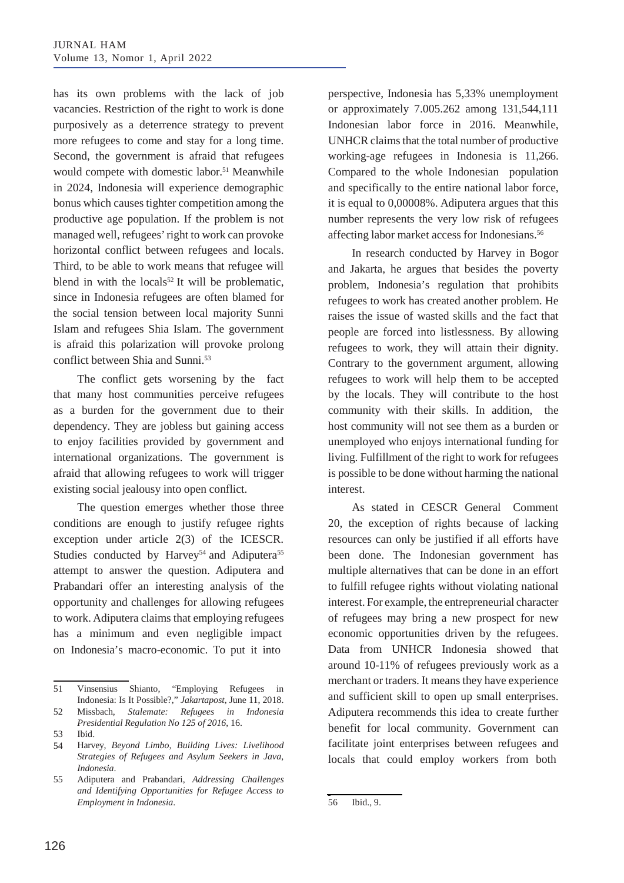has its own problems with the lack of job vacancies. Restriction of the right to work is done purposively as a deterrence strategy to prevent more refugees to come and stay for a long time. Second, the government is afraid that refugees would compete with domestic labor.<sup>51</sup> Meanwhile in 2024, Indonesia will experience demographic bonus which causes tighter competition among the productive age population. If the problem is not managed well, refugees'right to work can provoke horizontal conflict between refugees and locals. Third, to be able to work means that refugee will blend in with the locals<sup>52</sup> It will be problematic, since in Indonesia refugees are often blamed for the social tension between local majority Sunni Islam and refugees Shia Islam. The government is afraid this polarization will provoke prolong conflict between Shia and Sunni.<sup>53</sup>

The conflict gets worsening by the fact that many host communities perceive refugees as a burden for the government due to their dependency. They are jobless but gaining access to enjoy facilities provided by government and international organizations. The government is afraid that allowing refugees to work will trigger existing social jealousy into open conflict.

The question emerges whether those three conditions are enough to justify refugee rights exception under article 2(3) of the ICESCR. Studies conducted by Harvey<sup>54</sup> and Adiputera<sup>55</sup> attempt to answer the question. Adiputera and Prabandari offer an interesting analysis of the opportunity and challenges for allowing refugees to work. Adiputera claims that employing refugees has a minimum and even negligible impact on Indonesia's macro-economic. To put it into

51 Vinsensius Shianto, "Employing Refugees in Indonesia: Is It Possible?," *Jakartapost*, June 11, 2018.

Missbach, *Stalemate: Refugees in Indonesia Presidential Regulation No 125 of 2016*, 16. 52

Adiputera and Prabandari, *Addressing Challenges and Identifying Opportunities for Refugee Access to Employment in Indonesia*. 55

perspective, Indonesia has 5,33% unemployment or approximately 7.005.262 among 131,544,111 Indonesian labor force in 2016. Meanwhile, UNHCR claims that the total number of productive working-age refugees in Indonesia is 11,266. Compared to the whole Indonesian population and specifically to the entire national labor force, it is equal to 0,00008%. Adiputera argues that this number represents the very low risk of refugees affecting labor market access for Indonesians.56

In research conducted by Harvey in Bogor and Jakarta, he argues that besides the poverty problem, Indonesia's regulation that prohibits refugees to work has created another problem. He raises the issue of wasted skills and the fact that people are forced into listlessness. By allowing refugees to work, they will attain their dignity. Contrary to the government argument, allowing refugees to work will help them to be accepted by the locals. They will contribute to the host community with their skills. In addition, the host community will not see them as a burden or unemployed who enjoys international funding for living. Fulfillment of the right to work for refugees is possible to be done without harming the national interest.

As stated in CESCR General Comment 20, the exception of rights because of lacking resources can only be justified if all efforts have been done. The Indonesian government has multiple alternatives that can be done in an effort to fulfill refugee rights without violating national interest. For example, the entrepreneurial character of refugees may bring a new prospect for new economic opportunities driven by the refugees. Data from UNHCR Indonesia showed that around 10-11% of refugees previously work as a merchant or traders. It means they have experience and sufficient skill to open up small enterprises. Adiputera recommends this idea to create further benefit for local community. Government can facilitate joint enterprises between refugees and locals that could employ workers from both

Ibid. 53

Harvey, *Beyond Limbo, Building Lives: Livelihood Strategies of Refugees and Asylum Seekers in Java, Indonesia*. 54

<sup>56</sup> Ibid., 9.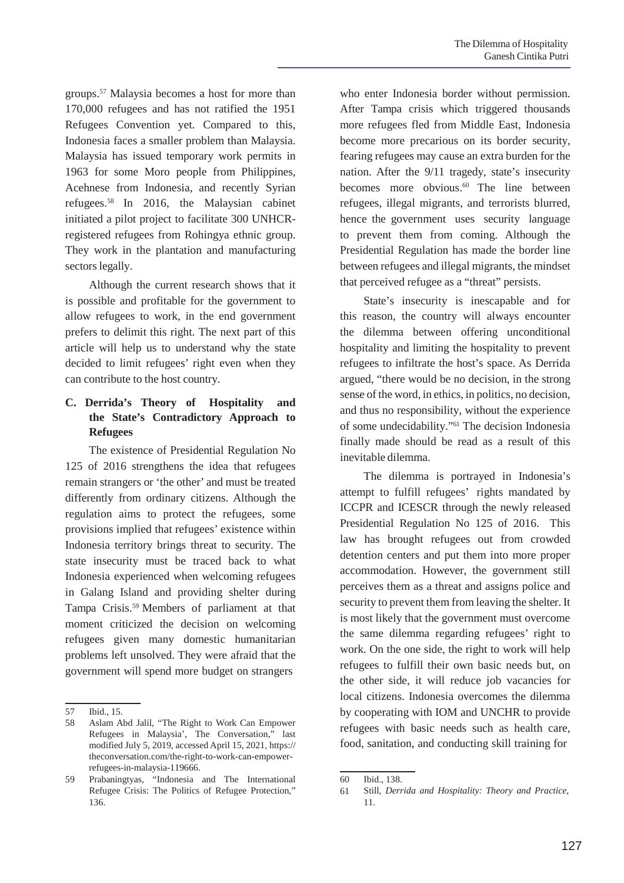groups.57 Malaysia becomes a host for more than 170,000 refugees and has not ratified the 1951 Refugees Convention yet. Compared to this, Indonesia faces a smaller problem than Malaysia. Malaysia has issued temporary work permits in 1963 for some Moro people from Philippines, Acehnese from Indonesia, and recently Syrian refugees.58 In 2016, the Malaysian cabinet initiated a pilot project to facilitate 300 UNHCRregistered refugees from Rohingya ethnic group. They work in the plantation and manufacturing sectors legally.

Although the current research shows that it is possible and profitable for the government to allow refugees to work, in the end government prefers to delimit this right. The next part of this article will help us to understand why the state decided to limit refugees' right even when they can contribute to the host country.

# **C. Derrida's Theory of Hospitality and the State's Contradictory Approach to Refugees**

The existence of Presidential Regulation No 125 of 2016 strengthens the idea that refugees remain strangers or 'the other' and must be treated differently from ordinary citizens. Although the regulation aims to protect the refugees, some provisions implied that refugees' existence within Indonesia territory brings threat to security. The state insecurity must be traced back to what Indonesia experienced when welcoming refugees in Galang Island and providing shelter during Tampa Crisis.59 Members of parliament at that moment criticized the decision on welcoming refugees given many domestic humanitarian problems left unsolved. They were afraid that the government will spend more budget on strangers

who enter Indonesia border without permission. After Tampa crisis which triggered thousands more refugees fled from Middle East, Indonesia become more precarious on its border security, fearing refugees may cause an extra burden for the nation. After the 9/11 tragedy, state's insecurity becomes more obvious.<sup>60</sup> The line between refugees, illegal migrants, and terrorists blurred, hence the government uses security language to prevent them from coming. Although the Presidential Regulation has made the border line between refugees and illegal migrants, the mindset that perceived refugee as a "threat" persists.

State's insecurity is inescapable and for this reason, the country will always encounter the dilemma between offering unconditional hospitality and limiting the hospitality to prevent refugees to infiltrate the host's space. As Derrida argued, "there would be no decision, in the strong sense of the word, in ethics, in politics, no decision, and thus no responsibility, without the experience of some undecidability."61 The decision Indonesia finally made should be read as a result of this inevitable dilemma.

The dilemma is portrayed in Indonesia's attempt to fulfill refugees' rights mandated by ICCPR and ICESCR through the newly released Presidential Regulation No 125 of 2016. This law has brought refugees out from crowded detention centers and put them into more proper accommodation. However, the government still perceives them as a threat and assigns police and security to prevent them from leaving the shelter. It is most likely that the government must overcome the same dilemma regarding refugees' right to work. On the one side, the right to work will help refugees to fulfill their own basic needs but, on the other side, it will reduce job vacancies for local citizens. Indonesia overcomes the dilemma by cooperating with IOM and UNCHR to provide refugees with basic needs such as health care, food, sanitation, and conducting skill training for

<sup>57</sup> Ibid., 15.

<sup>58</sup> Aslam Abd Jalil, "The Right to Work Can Empower Refugees in Malaysia', The Conversation," last modified July 5, 2019, accessed April 15, 2021, https:// theconversation.com/the-right-to-work-can-empowerrefugees-in-malaysia-119666.

<sup>59</sup> Prabaningtyas, "Indonesia and The International 60 Refugee Crisis: The Politics of Refugee Protection," 136.

Ibid., 138.

<sup>61</sup> Still, *Derrida and Hospitality: Theory and Practice*, 11.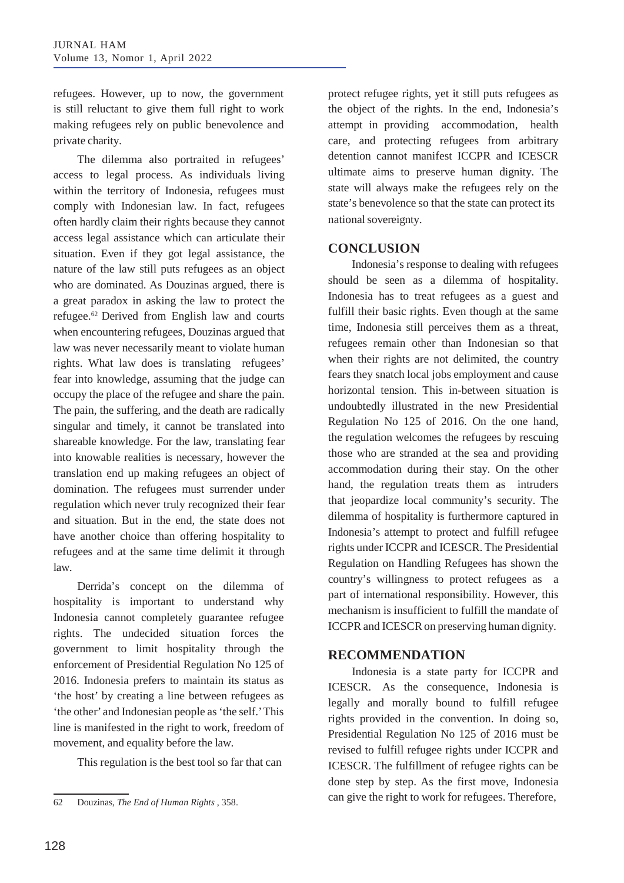refugees. However, up to now, the government is still reluctant to give them full right to work making refugees rely on public benevolence and private charity.

The dilemma also portraited in refugees' access to legal process. As individuals living within the territory of Indonesia, refugees must comply with Indonesian law. In fact, refugees often hardly claim their rights because they cannot access legal assistance which can articulate their situation. Even if they got legal assistance, the nature of the law still puts refugees as an object who are dominated. As Douzinas argued, there is a great paradox in asking the law to protect the refugee.62 Derived from English law and courts when encountering refugees, Douzinas argued that law was never necessarily meant to violate human rights. What law does is translating refugees' fear into knowledge, assuming that the judge can occupy the place of the refugee and share the pain. The pain, the suffering, and the death are radically singular and timely, it cannot be translated into shareable knowledge. For the law, translating fear into knowable realities is necessary, however the translation end up making refugees an object of domination. The refugees must surrender under regulation which never truly recognized their fear and situation. But in the end, the state does not have another choice than offering hospitality to refugees and at the same time delimit it through law.

Derrida's concept on the dilemma of hospitality is important to understand why Indonesia cannot completely guarantee refugee rights. The undecided situation forces the government to limit hospitality through the enforcement of Presidential Regulation No 125 of 2016. Indonesia prefers to maintain its status as 'the host' by creating a line between refugees as 'the other' and Indonesian people as'the self.'This line is manifested in the right to work, freedom of movement, and equality before the law.

This regulation is the best tool so far that can

protect refugee rights, yet it still puts refugees as the object of the rights. In the end, Indonesia's attempt in providing accommodation, health care, and protecting refugees from arbitrary detention cannot manifest ICCPR and ICESCR ultimate aims to preserve human dignity. The state will always make the refugees rely on the state's benevolence so that the state can protect its national sovereignty.

## **CONCLUSION**

Indonesia's response to dealing with refugees should be seen as a dilemma of hospitality. Indonesia has to treat refugees as a guest and fulfill their basic rights. Even though at the same time, Indonesia still perceives them as a threat, refugees remain other than Indonesian so that when their rights are not delimited, the country fears they snatch local jobs employment and cause horizontal tension. This in-between situation is undoubtedly illustrated in the new Presidential Regulation No 125 of 2016. On the one hand, the regulation welcomes the refugees by rescuing those who are stranded at the sea and providing accommodation during their stay. On the other hand, the regulation treats them as intruders that jeopardize local community's security. The dilemma of hospitality is furthermore captured in Indonesia's attempt to protect and fulfill refugee rights under ICCPR and ICESCR. The Presidential Regulation on Handling Refugees has shown the country's willingness to protect refugees as a part of international responsibility. However, this mechanism is insufficient to fulfill the mandate of ICCPRand ICESCRon preserving human dignity.

## **RECOMMENDATION**

Indonesia is a state party for ICCPR and ICESCR. As the consequence, Indonesia is legally and morally bound to fulfill refugee rights provided in the convention. In doing so, Presidential Regulation No 125 of 2016 must be revised to fulfill refugee rights under ICCPR and ICESCR. The fulfillment of refugee rights can be done step by step. As the first move, Indonesia can give the right to work for refugees. Therefore, <sup>62</sup> Douzinas, *The End of Human Rights* , 358.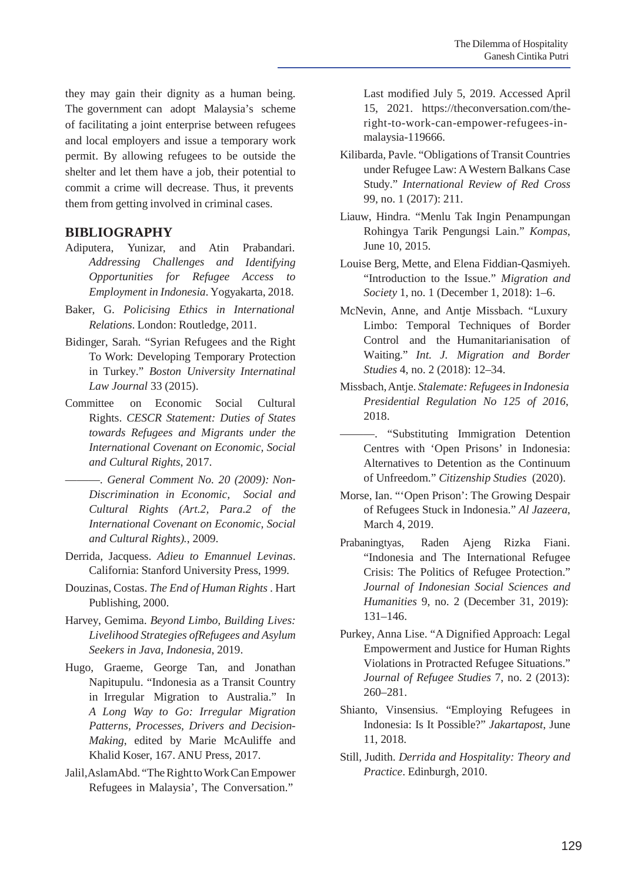they may gain their dignity as a human being. The government can adopt Malaysia's scheme of facilitating a joint enterprise between refugees and local employers and issue a temporary work permit. By allowing refugees to be outside the shelter and let them have a job, their potential to commit a crime will decrease. Thus, it prevents them from getting involved in criminal cases.

# **BIBLIOGRAPHY**

- Adiputera, Yunizar, and Atin Prabandari. *Addressing Challenges and Identifying Opportunities for Refugee Access to Employment in Indonesia*. Yogyakarta, 2018.
- Baker, G. *Policising Ethics in International Relations*. London: Routledge, 2011.
- Bidinger, Sarah. "Syrian Refugees and the Right To Work: Developing Temporary Protection in Turkey." *Boston University Internatinal Law Journal* 33 (2015).
- Committee on Economic Social Cultural Rights. *CESCR Statement: Duties of States towards Refugees and Migrants under the International Covenant on Economic, Social and Cultural Rights*, 2017.
- ———. *General Comment No. 20 (2009): Non-Discrimination in Economic, Social and Cultural Rights (Art.2, Para.2 of the International Covenant on Economic, Social and Cultural Rights).*, 2009.
- Derrida, Jacquess. *Adieu to Emannuel Levinas*. California: Stanford University Press, 1999.
- Douzinas, Costas. *The End of Human Rights* . Hart Publishing, 2000.
- Harvey, Gemima. *Beyond Limbo, Building Lives: Livelihood Strategies ofRefugees and Asylum Seekers in Java, Indonesia*, 2019.
- Hugo, Graeme, George Tan, and Jonathan Napitupulu. "Indonesia as a Transit Country in Irregular Migration to Australia." In *A Long Way to Go: Irregular Migration Patterns, Processes, Drivers and Decision-Making*, edited by Marie McAuliffe and Khalid Koser, 167. ANU Press, 2017.
- Jalil, AslamAbd. "The Right to Work Can Empower Refugees in Malaysia', The Conversation."

Last modified July 5, 2019. Accessed April 15, 2021. https://theconversation.com/theright-to-work-can-empower-refugees-inmalaysia-119666.

- Kilibarda, Pavle. "Obligations of Transit Countries under Refugee Law: AWestern Balkans Case Study." *International Review of Red Cross* 99, no. 1 (2017): 211.
- Liauw, Hindra. "Menlu Tak Ingin Penampungan Rohingya Tarik Pengungsi Lain." *Kompas*, June 10, 2015.
- Louise Berg, Mette, and Elena Fiddian-Qasmiyeh. "Introduction to the Issue." *Migration and Society* 1, no. 1 (December 1, 2018): 1–6.
- McNevin, Anne, and Antje Missbach. "Luxury Limbo: Temporal Techniques of Border Control and the Humanitarianisation of Waiting." *Int. J. Migration and Border Studies* 4, no. 2 (2018): 12–34.
- Missbach,Antje. *Stalemate: Refugeesin Indonesia Presidential Regulation No 125 of 2016*, 2018.
- ———. "Substituting Immigration Detention Centres with 'Open Prisons' in Indonesia: Alternatives to Detention as the Continuum of Unfreedom." *Citizenship Studies* (2020).
- Morse, Ian. "'Open Prison': The Growing Despair of Refugees Stuck in Indonesia." *Al Jazeera*, March 4, 2019.
- Prabaningtyas, Raden Ajeng Rizka Fiani. "Indonesia and The International Refugee Crisis: The Politics of Refugee Protection." *Journal of Indonesian Social Sciences and Humanities* 9, no. 2 (December 31, 2019): 131–146.
- Purkey, Anna Lise. "A Dignified Approach: Legal Empowerment and Justice for Human Rights Violations in Protracted Refugee Situations." *Journal of Refugee Studies* 7, no. 2 (2013): 260–281.
- Shianto, Vinsensius. "Employing Refugees in Indonesia: Is It Possible?" *Jakartapost*, June 11, 2018.
- Still, Judith. *Derrida and Hospitality: Theory and Practice*. Edinburgh, 2010.